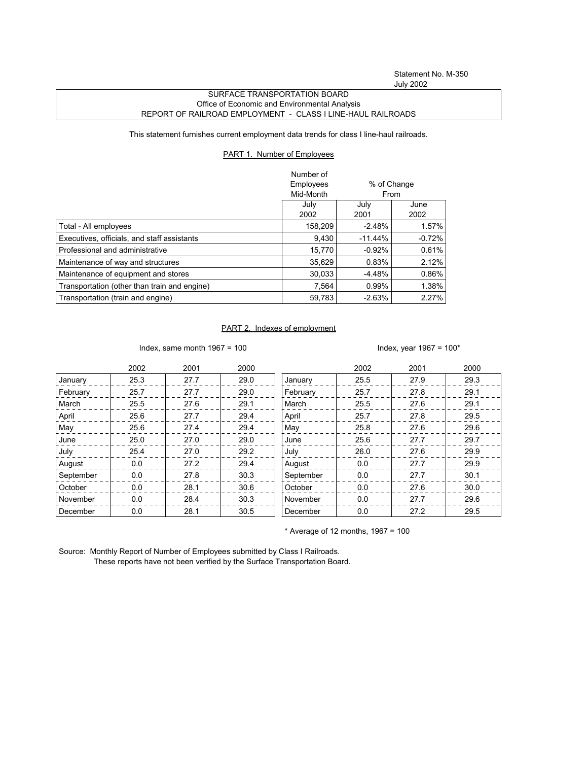## SURFACE TRANSPORTATION BOARD Office of Economic and Environmental Analysis REPORT OF RAILROAD EMPLOYMENT - CLASS I LINE-HAUL RAILROADS

This statement furnishes current employment data trends for class I line-haul railroads.

## PART 1. Number of Employees

|                                              | Number of |           |             |
|----------------------------------------------|-----------|-----------|-------------|
|                                              | Employees |           | % of Change |
|                                              | Mid-Month |           | From        |
|                                              | July      | July      | June        |
|                                              | 2002      | 2001      | 2002        |
| Total - All employees                        | 158,209   | $-2.48%$  | 1.57%       |
| Executives, officials, and staff assistants  | 9.430     | $-11.44%$ | $-0.72%$    |
| Professional and administrative              | 15.770    | $-0.92%$  | 0.61%       |
| Maintenance of way and structures            | 35.629    | 0.83%     | 2.12%       |
| Maintenance of equipment and stores          | 30.033    | $-4.48%$  | 0.86%       |
| Transportation (other than train and engine) | 7.564     | 0.99%     | 1.38%       |
| Transportation (train and engine)            | 59,783    | $-2.63%$  | 2.27%       |

## PART 2. Indexes of employment

Index, same month 1967 = 100  $\blacksquare$ 

|           | 2002 | 2001 | 2000 |           | 2002 | 2001 | 2000 |
|-----------|------|------|------|-----------|------|------|------|
| January   | 25.3 | 27.7 | 29.0 | January   | 25.5 | 27.9 | 29.3 |
| February  | 25.7 | 27.7 | 29.0 | February  | 25.7 | 27.8 | 29.1 |
| March     | 25.5 | 27.6 | 29.1 | March     | 25.5 | 27.6 | 29.1 |
| April     | 25.6 | 27.7 | 29.4 | April     | 25.7 | 27.8 | 29.5 |
| May       | 25.6 | 27.4 | 29.4 | May       | 25.8 | 27.6 | 29.6 |
| June      | 25.0 | 27.0 | 29.0 | June      | 25.6 | 27.7 | 29.7 |
| July      | 25.4 | 27.0 | 29.2 | July      | 26.0 | 27.6 | 29.9 |
| August    | 0.0  | 27.2 | 29.4 | August    | 0.0  | 27.7 | 29.9 |
| September | 0.0  | 27.8 | 30.3 | September | 0.0  | 27.7 | 30.1 |
| October   | 0.0  | 28.1 | 30.6 | October   | 0.0  | 27.6 | 30.0 |
| November  | 0.0  | 28.4 | 30.3 | November  | 0.0  | 27.7 | 29.6 |
| December  | 0.0  | 28.1 | 30.5 | December  | 0.0  | 27.2 | 29.5 |

 $*$  Average of 12 months, 1967 = 100

Source: Monthly Report of Number of Employees submitted by Class I Railroads. These reports have not been verified by the Surface Transportation Board.